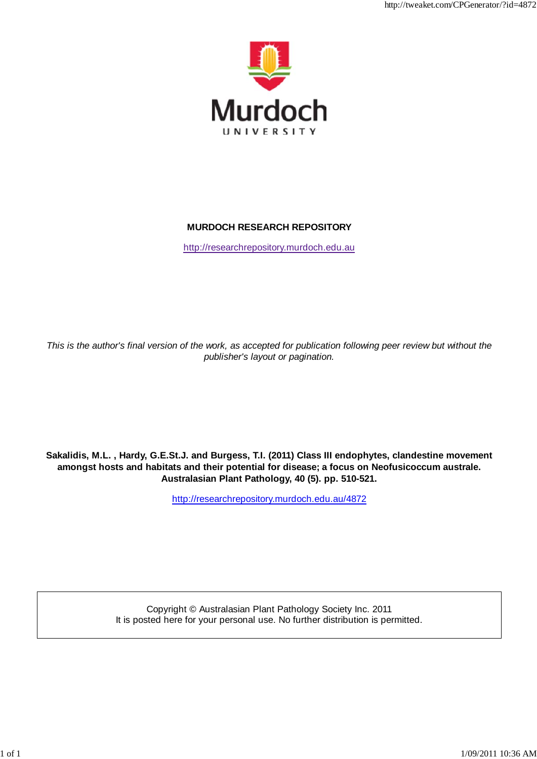

http://tweaket.com/CPGenerator/2012/07/2012

### **MURDOCH RESEARCH REPOSITORY**

http://researchrepository.murdoch.edu.au

*This is the author's final version of the work, as accepted for publication following peer review but without the publisher's layout or pagination.*

**Sakalidis, M.L. , Hardy, G.E.St.J. and Burgess, T.I. (2011) Class III endophytes, clandestine movement amongst hosts and habitats and their potential for disease; a focus on Neofusicoccum australe. Australasian Plant Pathology, 40 (5). pp. 510-521.**

http://researchrepository.murdoch.edu.au/4872

Copyright © Australasian Plant Pathology Society Inc. 2011 It is posted here for your personal use. No further distribution is permitted.

1 of 1 1/09/2011 10:36 AM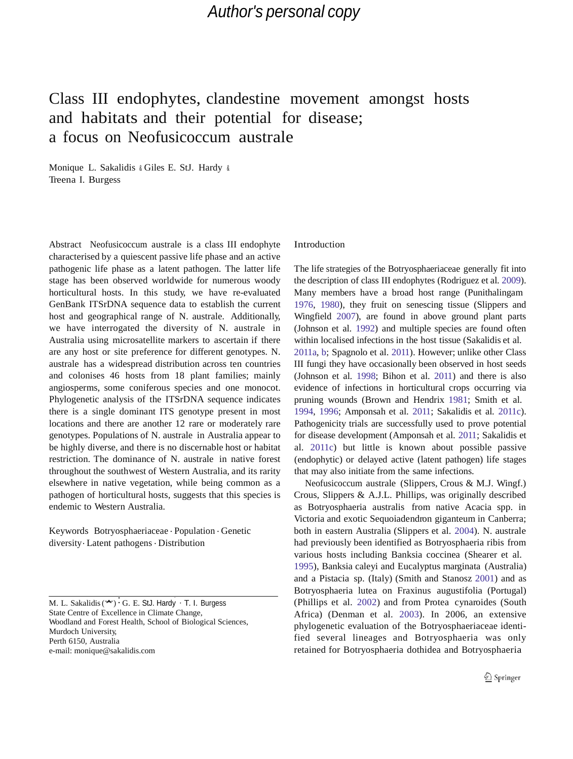# Class III endophytes, clandestine movement amongst hosts and habitats and their potential for disease; a focus on Neofusicoccum australe

Monique L. Sakalidis & Giles E. StJ. Hardy & Treena I. Burgess

Abstract Neofusicoccum australe is a class III endophyte characterised by a quiescent passive life phase and an active pathogenic life phase as a latent pathogen. The latter life stage has been observed worldwide for numerous woody horticultural hosts. In this study, we have re-evaluated GenBank ITSrDNA sequence data to establish the current host and geographical range of N. australe. Additionally, we have interrogated the diversity of N. australe in Australia using microsatellite markers to ascertain if there are any host or site preference for different genotypes. N. australe has a widespread distribution across ten countries and colonises 46 hosts from 18 plant families; mainly angiosperms, some coniferous species and one monocot. Phylogenetic analysis of the ITSrDNA sequence indicates there is a single dominant ITS genotype present in most locations and there are another 12 rare or moderately rare genotypes. Populations of N. australe in Australia appear to be highly diverse, and there is no discernable host or habitat restriction. The dominance of N. australe in native forest throughout the southwest of Western Australia, and its rarity elsewhere in native vegetation, while being common as a pathogen of horticultural hosts, suggests that this species is endemic to Western Australia.

Keywords Botryosphaeriaceae . Population . Genetic diversity. Latent pathogens . Distribution

S. Hardy : T. I. Burgess M. L. Sakalidis(\*) : G. E. StJ. Hardy · T. I. Burgess State Centre of Excellence in Climate Change, Woodland and Forest Health, School of Biological Sciences, Murdoch University, Perth 6150, Australia e-mail: [monique@sakalidis.com](mailto:monique@sakalidis.com)

### Introduction

The life strategies of the Botryosphaeriaceae generally fit into the description of class III endophytes (Rodriguez et al. 2009). Many members have a broad host range (Punithalingam 1976, 1980), they fruit on senescing tissue (Slippers and Wingfield 2007), are found in above ground plant parts (Johnson et al. 1992) and multiple species are found often within localised infections in the host tissue (Sakalidis et al. 2011a, b; Spagnolo et al. 2011). However; unlike other Class III fungi they have occasionally been observed in host seeds (Johnson et al. 1998; Bihon et al. 2011) and there is also evidence of infections in horticultural crops occurring via pruning wounds (Brown and Hendrix 1981; Smith et al. 1994, 1996; Amponsah et al. 2011; Sakalidis et al. 2011c). Pathogenicity trials are successfully used to prove potential for disease development (Amponsah et al. 2011; Sakalidis et al. 2011c) but little is known about possible passive (endophytic) or delayed active (latent pathogen) life stages that may also initiate from the same infections.

Neofusicoccum australe (Slippers, Crous & M.J. Wingf.) Crous, Slippers & A.J.L. Phillips, was originally described as Botryosphaeria australis from native Acacia spp. in Victoria and exotic Sequoiadendron giganteum in Canberra; both in eastern Australia (Slippers et al. 2004). N. australe had previously been identified as Botryosphaeria ribis from various hosts including Banksia coccinea (Shearer et al. 1995), Banksia caleyi and Eucalyptus marginata (Australia) and a Pistacia sp. (Italy) (Smith and Stanosz 2001) and as Botryosphaeria lutea on Fraxinus augustifolia (Portugal) (Phillips et al. 2002) and from Protea cynaroides (South Africa) (Denman et al. 2003). In 2006, an extensive phylogenetic evaluation of the Botryosphaeriaceae identified several lineages and Botryosphaeria was only retained for Botryosphaeria dothidea and Botryosphaeria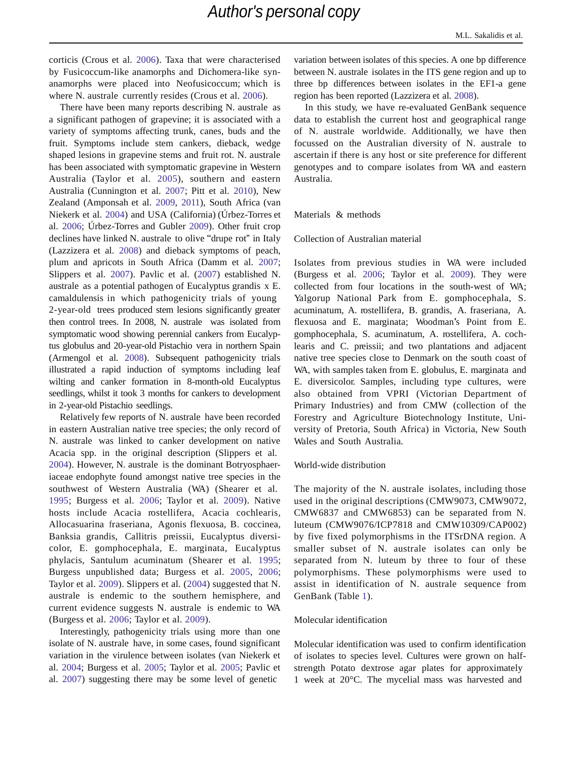corticis (Crous et al. 2006). Taxa that were characterised by Fusicoccum-like anamorphs and Dichomera-like synanamorphs were placed into Neofusicoccum; which is where N. australe currently resides (Crous et al. 2006).

There have been many reports describing N. australe as a significant pathogen of grapevine; it is associated with a variety of symptoms affecting trunk, canes, buds and the fruit. Symptoms include stem cankers, dieback, wedge shaped lesions in grapevine stems and fruit rot. N. australe has been associated with symptomatic grapevine in Western Australia (Taylor et al. 2005), southern and eastern Australia (Cunnington et al. 2007; Pitt et al. 2010), New Zealand (Amponsah et al. 2009, 2011), South Africa (van Niekerk et al. 2004) and USA (California) (Úrbez-Torres et al. 2006; Úrbez-Torres and Gubler 2009). Other fruit crop declines have linked N. australe to olive "drupe rot" in Italy (Lazzizera et al. 2008) and dieback symptoms of peach, plum and apricots in South Africa (Damm et al. 2007; Slippers et al. 2007). Pavlic et al. (2007) established N. australe as a potential pathogen of Eucalyptus grandis x E. camaldulensis in which pathogenicity trials of young 2-year-old trees produced stem lesions significantly greater then control trees. In 2008, N. australe was isolated from symptomatic wood showing perennial cankers from Eucalyptus globulus and 20-year-old Pistachio vera in northern Spain (Armengol et al. 2008). Subsequent pathogenicity trials illustrated a rapid induction of symptoms including leaf wilting and canker formation in 8-month-old Eucalyptus seedlings, whilst it took 3 months for cankers to development in 2-year-old Pistachio seedlings.

Relatively few reports of N. australe have been recorded in eastern Australian native tree species; the only record of N. australe was linked to canker development on native Acacia spp. in the original description (Slippers et al. 2004). However, N. australe is the dominant Botryosphaeriaceae endophyte found amongst native tree species in the southwest of Western Australia (WA) (Shearer et al. 1995; Burgess et al. 2006; Taylor et al. 2009). Native hosts include Acacia rostellifera, Acacia cochlearis, Allocasuarina fraseriana, Agonis flexuosa, B. coccinea, Banksia grandis, Callitris preissii, Eucalyptus diversicolor, E. gomphocephala, E. marginata, Eucalyptus phylacis, Santulum acuminatum (Shearer et al. 1995; Burgess unpublished data; Burgess et al. 2005, 2006; Taylor et al. 2009). Slippers et al. (2004) suggested that N. australe is endemic to the southern hemisphere, and current evidence suggests N. australe is endemic to WA (Burgess et al. 2006; Taylor et al. 2009).

Interestingly, pathogenicity trials using more than one isolate of N. australe have, in some cases, found significant variation in the virulence between isolates (van Niekerk et al. 2004; Burgess et al. 2005; Taylor et al. 2005; Pavlic et al. 2007) suggesting there may be some level of genetic

variation between isolates of this species. A one bp difference between N. australe isolates in the ITS gene region and up to three bp differences between isolates in the EF1-a gene region has been reported (Lazzizera et al. 2008).

In this study, we have re-evaluated GenBank sequence data to establish the current host and geographical range of N. australe worldwide. Additionally, we have then focussed on the Australian diversity of N. australe to ascertain if there is any host or site preference for different genotypes and to compare isolates from WA and eastern Australia.

### Materials & methods

Collection of Australian material

Isolates from previous studies in WA were included (Burgess et al. 2006; Taylor et al. 2009). They were collected from four locations in the south-west of WA; Yalgorup National Park from E. gomphocephala, S. acuminatum, A. rostellifera, B. grandis, A. fraseriana, A. flexuosa and E. marginata; Woodman'<sup>s</sup> Point from E. gomphocephala, S. acuminatum, A. rostellifera, A. cochlearis and C. preissii; and two plantations and adjacent native tree species close to Denmark on the south coast of WA, with samples taken from E. globulus, E. marginata and E. diversicolor. Samples, including type cultures, were also obtained from VPRI (Victorian Department of Primary Industries) and from CMW (collection of the Forestry and Agriculture Biotechnology Institute, University of Pretoria, South Africa) in Victoria, New South Wales and South Australia.

### World-wide distribution

The majority of the N. australe isolates, including those used in the original descriptions (CMW9073, CMW9072, CMW6837 and CMW6853) can be separated from N. luteum (CMW9076/ICP7818 and CMW10309/CAP002) by five fixed polymorphisms in the ITSrDNA region. A smaller subset of N. australe isolates can only be separated from N. luteum by three to four of these polymorphisms. These polymorphisms were used to assist in identification of N. australe sequence from GenBank (Table 1).

### Molecular identification

Molecular identification was used to confirm identification of isolates to species level. Cultures were grown on halfstrength Potato dextrose agar plates for approximately 1 week at 20°C. The mycelial mass was harvested and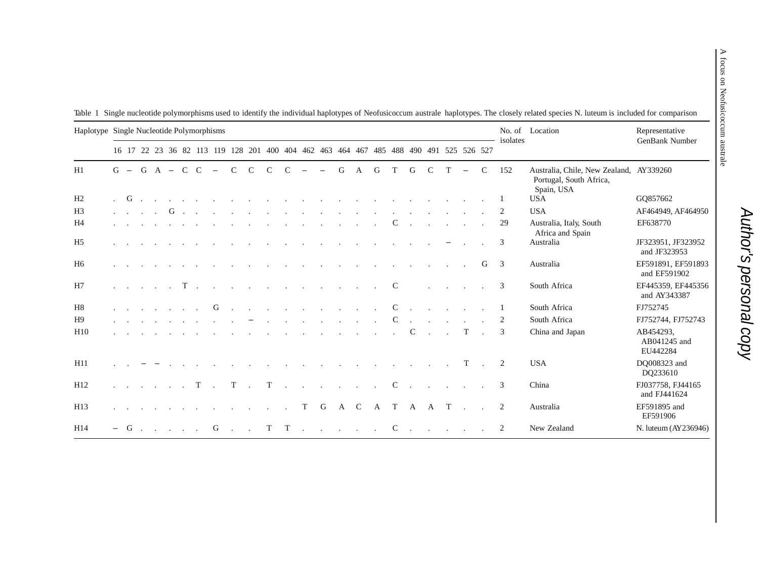|                | Haplotype Single Nucleotide Polymorphisms |  |  |  |  |                                                                                                                                                                                                                                |                                                                                                                                                                                                                                |                          |               |                      |                                  |                  |                          |            | isolates                                                                                                                                                                                                                          | No. of Location | Representative |             |                                 |                                |        |               |                |                                                                                  |                                       |
|----------------|-------------------------------------------|--|--|--|--|--------------------------------------------------------------------------------------------------------------------------------------------------------------------------------------------------------------------------------|--------------------------------------------------------------------------------------------------------------------------------------------------------------------------------------------------------------------------------|--------------------------|---------------|----------------------|----------------------------------|------------------|--------------------------|------------|-----------------------------------------------------------------------------------------------------------------------------------------------------------------------------------------------------------------------------------|-----------------|----------------|-------------|---------------------------------|--------------------------------|--------|---------------|----------------|----------------------------------------------------------------------------------|---------------------------------------|
|                |                                           |  |  |  |  |                                                                                                                                                                                                                                |                                                                                                                                                                                                                                |                          |               |                      |                                  |                  |                          |            | 16 17 22 23 36 82 113 119 128 201 400 404 462 463 464 467 485 488 490 491 525 526 527                                                                                                                                             |                 |                |             |                                 |                                |        |               |                |                                                                                  | GenBank Number                        |
| H1             |                                           |  |  |  |  |                                                                                                                                                                                                                                | $G - G A - C C -$                                                                                                                                                                                                              | $\mathcal{C}$            | $\mathcal{C}$ | $\mathcal{C}$        | $\mathcal{C}$                    | $\hspace{0.1mm}$ | $\overline{\phantom{0}}$ | G          | A                                                                                                                                                                                                                                 | G               | T              | G           | $\mathcal{C}$                   | T                              |        | $\mathcal{C}$ | 152            | Australia, Chile, New Zealand, AY339260<br>Portugal, South Africa,<br>Spain, USA |                                       |
| H <sub>2</sub> |                                           |  |  |  |  |                                                                                                                                                                                                                                |                                                                                                                                                                                                                                |                          |               |                      |                                  |                  |                          |            | $\mathbf{G}$ . The set of the set of the set of the set of the set of the set of the set of the set of the set of the set of the set of the set of the set of the set of the set of the set of the set of the set of the set of t |                 |                |             |                                 |                                |        |               |                | <b>USA</b>                                                                       | GO857662                              |
| H3             |                                           |  |  |  |  |                                                                                                                                                                                                                                |                                                                                                                                                                                                                                |                          |               |                      |                                  |                  |                          |            | . The contribution of the contribution of the contribution of the contribution of $\mathbf{G}$ and $\mathbf{G}$                                                                                                                   |                 |                |             |                                 |                                |        |               | 2              | <b>USA</b>                                                                       | AF464949, AF464950                    |
| Η4             |                                           |  |  |  |  |                                                                                                                                                                                                                                |                                                                                                                                                                                                                                |                          |               |                      |                                  |                  |                          |            | and the contract of the contract of the contract of the contract of the contract of the contract of the contract of the contract of the contract of the contract of the contract of the contract of the contract of the contra    |                 | $C \quad .$    |             |                                 | and the contract of the state  |        |               | 29             | Australia, Italy, South<br>Africa and Spain                                      | EF638770                              |
| H5             |                                           |  |  |  |  | <u>.</u>                                                                                                                                                                                                                       |                                                                                                                                                                                                                                |                          |               |                      | $\sim 10^{-11}$                  | $\sim 10$        | $\sim 100$               | $\sim 100$ | $\sim$ 10 $\mu$                                                                                                                                                                                                                   |                 |                |             |                                 |                                |        |               | 3              | Australia                                                                        | JF323951, JF323952<br>and JF323953    |
| H6             |                                           |  |  |  |  |                                                                                                                                                                                                                                |                                                                                                                                                                                                                                |                          |               |                      |                                  |                  |                          |            | and a series of the control of the control of the control of the control of the control of the control of the control of the control of the control of the control of the control of the control of the control of the control    |                 |                |             |                                 | and the state of the state     |        | G             | $\overline{3}$ | Australia                                                                        | EF591891, EF591893<br>and EF591902    |
| H7             |                                           |  |  |  |  |                                                                                                                                                                                                                                |                                                                                                                                                                                                                                |                          |               |                      |                                  |                  |                          |            | . The contribution of the contribution of the contribution of the contribution of $\Gamma$                                                                                                                                        |                 | $\mathbf C$    |             |                                 | and the company of the company |        |               | 3              | South Africa                                                                     | EF445359, EF445356<br>and AY343387    |
| H8             |                                           |  |  |  |  | . G                                                                                                                                                                                                                            |                                                                                                                                                                                                                                | <b>Contract Contract</b> |               |                      |                                  |                  |                          |            | $\mathbb{C}$ . The contract of the contract $\mathbb{C}$ is the contract of the contract of the contract of $\mathbb{C}$                                                                                                          |                 |                |             |                                 |                                |        |               | - 1            | South Africa                                                                     | FJ752745                              |
| H9             |                                           |  |  |  |  |                                                                                                                                                                                                                                | and a strong control of the state of the state of the state of the state of the state of the state of the state of the state of the state of the state of the state of the state of the state of the state of the state of the |                          |               |                      |                                  |                  |                          |            | the contract of the contract of the contract of                                                                                                                                                                                   |                 | $\mathbf{C}$   | $\sim$      | <b>Contract Contract Street</b> |                                |        |               | 2              | South Africa                                                                     | FJ752744, FJ752743                    |
| H10            |                                           |  |  |  |  | and a strong control of the state of the state of the state of the state of the state of the state of the state of the state of the state of the state of the state of the state of the state of the state of the state of the |                                                                                                                                                                                                                                |                          | $\sim 100$    |                      |                                  |                  |                          |            | the contract of the contract of the contract of the contract of the contract of                                                                                                                                                   |                 |                | $\mathbf C$ | <b>Carl Carl Corporation</b>    |                                | T      | $\sim$        | 3              | China and Japan                                                                  | AB454293,<br>AB041245 and<br>EU442284 |
| H11            |                                           |  |  |  |  |                                                                                                                                                                                                                                |                                                                                                                                                                                                                                |                          |               |                      | and the contract of the contract |                  |                          |            | the contract of the contract of the contract of                                                                                                                                                                                   |                 |                |             |                                 |                                | T      | $\sim$        | 2              | <b>USA</b>                                                                       | DO008323 and<br>DQ233610              |
| H12            |                                           |  |  |  |  |                                                                                                                                                                                                                                |                                                                                                                                                                                                                                |                          |               |                      |                                  |                  |                          |            | $\mathbf{r}$ , $\mathbf{r}$ , $\mathbf{r}$ , $\mathbf{r}$ , $\mathbf{r}$ , $\mathbf{r}$ , $\mathbf{r}$ , $\mathbf{r}$ , $\mathbf{r}$ , $\mathbf{r}$ , $\mathbf{r}$                                                                |                 |                |             |                                 | $C$                            |        |               | 3              | China                                                                            | FJ037758, FJ44165<br>and FJ441624     |
| H13            |                                           |  |  |  |  |                                                                                                                                                                                                                                | the company of the company of the company of the company of the company of the company of the company of the company of the company of the company of the company of the company of the company of the company of the company  |                          |               | <b>Service State</b> |                                  | T                | G                        | A C        |                                                                                                                                                                                                                                   | A               | T A            |             | A T                             |                                | $\sim$ |               | 2              | Australia                                                                        | EF591895 and<br>EF591906              |
| H14            |                                           |  |  |  |  |                                                                                                                                                                                                                                |                                                                                                                                                                                                                                |                          |               |                      |                                  |                  |                          |            | $-$ G $\ldots$ $\ldots$ G $\ldots$ T $T$ $\ldots$ $\ldots$ C $\ldots$ $\ldots$ $\ldots$                                                                                                                                           |                 |                |             |                                 |                                |        |               | 2              | New Zealand                                                                      | N. luteum (AY236946)                  |

Table 1 Single nucleotide polymorphisms used to identify the individual haplotypes of Neofusicoccum australe haplotypes. The closely related species N. luteum is included for comparison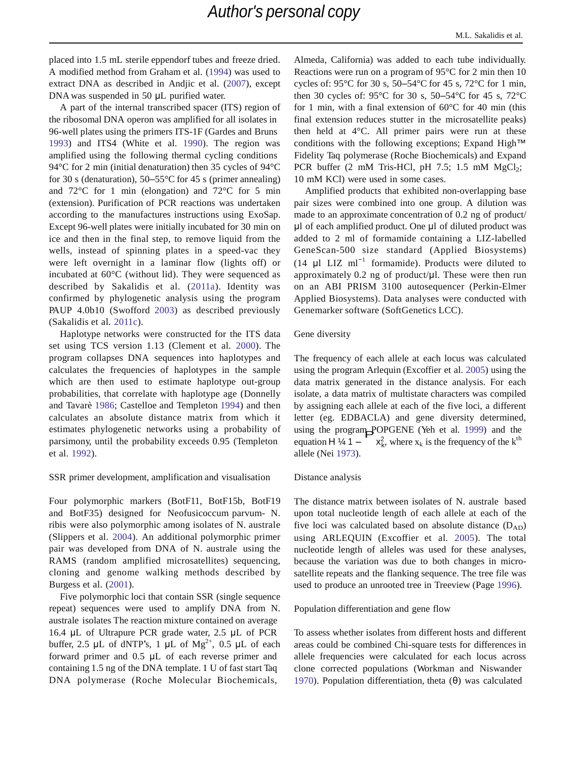placed into 1.5 mL sterile eppendorf tubes and freeze dried. A modified method from Graham et al. (1994) was used to extract DNA as described in Andjic et al. (2007), except DNA was suspended in 50 **μL** purified water.

A part of the internal transcribed spacer (ITS) region of the ribosomal DNA operon was amplified for all isolates in 96-well plates using the primers ITS-1F (Gardes and Bruns 1993) and ITS4 (White et al. 1990). The region was amplified using the following thermal cycling conditions 94°C for 2 min (initial denaturation) then 35 cycles of 94°C for 30 s (denaturation),  $50-55^{\circ}$ C for 45 s (primer annealing) and 72°C for 1 min (elongation) and 72°C for 5 min (extension). Purification of PCR reactions was undertaken according to the manufactures instructions using ExoSap. Except 96-well plates were initially incubated for 30 min on ice and then in the final step, to remove liquid from the wells, instead of spinning plates in a speed-vac they were left overnight in a laminar flow (lights off) or incubated at 60°C (without lid). They were sequenced as described by Sakalidis et al. (2011a). Identity was confirmed by phylogenetic analysis using the program PAUP 4.0b10 (Swofford 2003) as described previously (Sakalidis et al. 2011c).

Haplotype networks were constructed for the ITS data set using TCS version 1.13 (Clement et al. 2000). The program collapses DNA sequences into haplotypes and calculates the frequencies of haplotypes in the sample which are then used to estimate haplotype out-group probabilities, that correlate with haplotype age (Donnelly and Tavarè 1986; Castelloe and Templeton 1994) and then calculates an absolute distance matrix from which it estimates phylogenetic networks using a probability of parsimony, until the probability exceeds 0.95 (Templeton et al. 1992).

### SSR primer development, amplification and visualisation

Four polymorphic markers (BotF11, BotF15b, BotF19 and BotF35) designed for Neofusicoccum parvum- N. ribis were also polymorphic among isolates of N. australe (Slippers et al. 2004). An additional polymorphic primer pair was developed from DNA of N. australe using the RAMS (random amplified microsatellites) sequencing, cloning and genome walking methods described by Burgess et al. (2001).

Five polymorphic loci that contain SSR (single sequence repeat) sequences were used to amplify DNA from N. australe isolates The reaction mixture contained on average 16.4 μL of Ultrapure PCR grade water, 2.5 μL of PCR buffer, 2.5 μL of dNTP's, 1 μL of  $Mg^{2+}$ , 0.5 μL of each forward primer and 0.5 μL of each reverse primer and containing 1.5 ng of the DNA template. 1 U of fast start Taq DNA polymerase (Roche Molecular Biochemicals,

Almeda, California) was added to each tube individually. Reactions were run on a program of 95°C for 2 min then 10 cycles of: 95°C for 30 s, 50–54°C for 45 s, 72°C for 1 min, then 30 cycles of: 95°C for 30 s, 50–54°C for 45 s, 72°C for 1 min, with a final extension of  $60^{\circ}$ C for 40 min (this final extension reduces stutter in the microsatellite peaks) then held at 4°C. All primer pairs were run at these conditions with the following exceptions; Expand High™ Fidelity Taq polymerase (Roche Biochemicals) and Expand PCR buffer  $(2 \text{ mM Tris-HCl, pH } 7.5; 1.5 \text{ mM } MgCl<sub>2</sub>;$ 10 mM KCl) were used in some cases.

Amplified products that exhibited non-overlapping base pair sizes were combined into one group. A dilution was made to an approximate concentration of 0.2 ng of product/ μl of each amplified product. One μl of diluted product was added to 2 ml of formamide containing a LIZ-labelled GeneScan-500 size standard (Applied Biosystems) (14  $\mu$ I LIZ ml<sup>-1</sup> formamide). Products were diluted to approximately 0.2 ng of product/μl. These were then run on an ABI PRISM 3100 autosequencer (Perkin-Elmer Applied Biosystems). Data analyses were conducted with Genemarker software (SoftGenetics LCC).

### Gene diversity

 $x_k^2$ , where  $x_k$  is the frequency of the k<sup>th</sup> The frequency of each allele at each locus was calculated using the program Arlequin (Excoffier et al. 2005) using the data matrix generated in the distance analysis. For each isolate, a data matrix of multistate characters was compiled by assigning each allele at each of the five loci, a different letter (eg. EDBACLA) and gene diversity determined, using the program POPGENE (Yeh et al. 1999) and the counting  $H_1$  / 1 equation H  $\frac{1}{4}$  1 – allele (Nei 1973).

#### Distance analysis

The distance matrix between isolates of N. australe based upon total nucleotide length of each allele at each of the five loci was calculated based on absolute distance  $(D_{AD})$ using ARLEQUIN (Excoffier et al. 2005). The total nucleotide length of alleles was used for these analyses, because the variation was due to both changes in microsatellite repeats and the flanking sequence. The tree file was used to produce an unrooted tree in Treeview (Page 1996).

### Population differentiation and gene flow

To assess whether isolates from different hosts and different areas could be combined Chi-square tests for differences in allele frequencies were calculated for each locus across clone corrected populations (Workman and Niswander 1970). Population differentiation, theta (θ) was calculated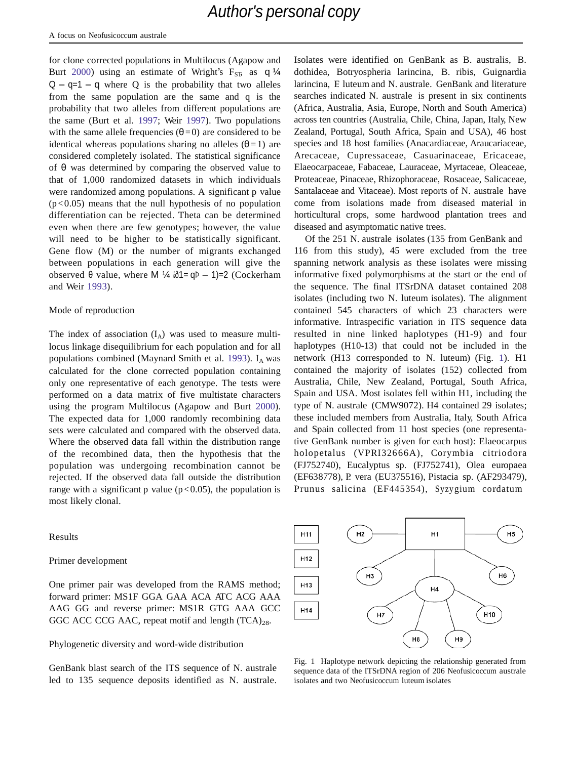for clone corrected populations in Multilocus (Agapow and Burt 2000) using an estimate of Wright's  $F_{ST}$  as q  $\frac{1}{4}$  $Q - q=1 - q$  where Q is the probability that two alleles from the same population are the same and q is the probability that two alleles from different populations are the same (Burt et al. 1997; Weir 1997). Two populations with the same allele frequencies ( $\theta$ =0) are considered to be identical whereas populations sharing no alleles  $(\theta = 1)$  are considered completely isolated. The statistical significance of θ was determined by comparing the observed value to that of 1,000 randomized datasets in which individuals were randomized among populations. A significant p value  $(p<0.05)$  means that the null hypothesis of no population differentiation can be rejected. Theta can be determined even when there are few genotypes; however, the value will need to be higher to be statistically significant. Gene flow (M) or the number of migrants exchanged between populations in each generation will give the observed θ value, where M ¼ ½ð1= q $\rho$  – 1)=2 (Cockerham and Weir 1993).

### Mode of reproduction

The index of association  $(I_A)$  was used to measure multilocus linkage disequilibrium for each population and for all populations combined (Maynard Smith et al. 1993). I<sub>A</sub> was calculated for the clone corrected population containing only one representative of each genotype. The tests were performed on a data matrix of five multistate characters using the program Multilocus (Agapow and Burt 2000). The expected data for 1,000 randomly recombining data sets were calculated and compared with the observed data. Where the observed data fall within the distribution range of the recombined data, then the hypothesis that the population was undergoing recombination cannot be rejected. If the observed data fall outside the distribution range with a significant p value ( $p < 0.05$ ), the population is most likely clonal.

### Results

### Primer development

One primer pair was developed from the RAMS method; forward primer: MS1F GGA GAA ACA ATC ACG AAA AAG GG and reverse primer: MS1R GTG AAA GCC GGC ACC CCG AAC, repeat motif and length  $(TCA)_{28}$ .

### Phylogenetic diversity and word-wide distribution

GenBank blast search of the ITS sequence of N. australe led to 135 sequence deposits identified as N. australe.

Isolates were identified on GenBank as B. australis, B. dothidea, Botryospheria larincina, B. ribis, Guignardia larincina, F. luteum and N. australe. GenBank and literature searches indicated N. australe is present in six continents (Africa, Australia, Asia, Europe, North and South America) across ten countries (Australia, Chile, China, Japan, Italy, New Zealand, Portugal, South Africa, Spain and USA), 46 host species and 18 host families (Anacardiaceae, Araucariaceae, Arecaceae, Cupressaceae, Casuarinaceae, Ericaceae, Elaeocarpaceae, Fabaceae, Lauraceae, Myrtaceae, Oleaceae, Proteaceae, Pinaceae, Rhizophoraceae, Rosaceae, Salicaceae, Santalaceae and Vitaceae). Most reports of N. australe have come from isolations made from diseased material in horticultural crops, some hardwood plantation trees and diseased and asymptomatic native trees.

Of the 251 N. australe isolates (135 from GenBank and 116 from this study), 45 were excluded from the tree spanning network analysis as these isolates were missing informative fixed polymorphisms at the start or the end of the sequence. The final ITSrDNA dataset contained 208 isolates (including two N. luteum isolates). The alignment contained 545 characters of which 23 characters were informative. Intraspecific variation in ITS sequence data resulted in nine linked haplotypes (H1-9) and four haplotypes (H10-13) that could not be included in the network (H13 corresponded to N. luteum) (Fig. 1). H1 contained the majority of isolates (152) collected from Australia, Chile, New Zealand, Portugal, South Africa, Spain and USA. Most isolates fell within H1, including the type of N. australe (CMW9072). H4 contained 29 isolates; these included members from Australia, Italy, South Africa and Spain collected from 11 host species (one representative GenBank number is given for each host): Elaeocarpus holopetalus (VPRI32666A), Corymbia citriodora (FJ752740), Eucalyptus sp. (FJ752741), Olea europaea (EF638778), P. vera (EU375516), Pistacia sp. (AF293479), Prunus salicina (EF445354), Syzygium cordatum



Fig. 1 Haplotype network depicting the relationship generated from sequence data of the ITSrDNA region of 206 Neofusicoccum australe isolates and two Neofusicoccum luteum isolates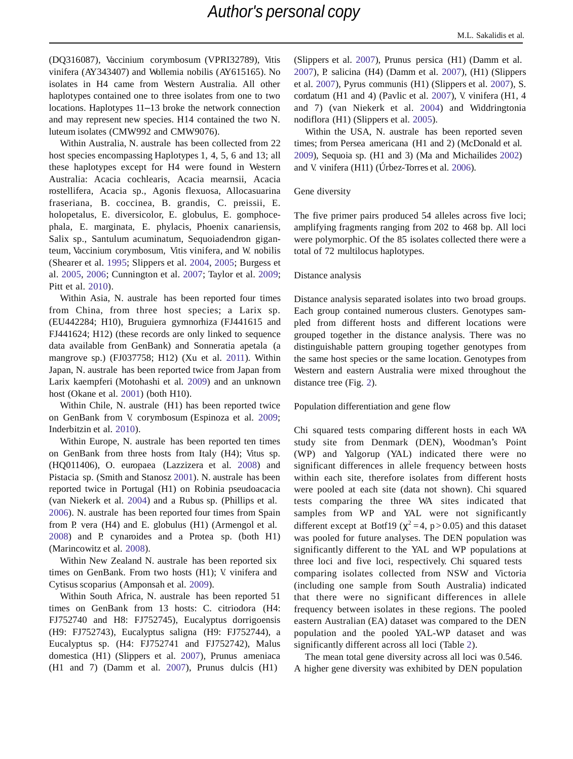(DQ316087), Vaccinium corymbosum (VPRI32789), Vitis vinifera (AY343407) and Wollemia nobilis (AY615165). No isolates in H4 came from Western Australia. All other haplotypes contained one to three isolates from one to two locations. Haplotypes 11–13 broke the network connection and may represent new species. H14 contained the two N. luteum isolates (CMW992 and CMW9076).

Within Australia, N. australe has been collected from 22 host species encompassing Haplotypes 1, 4, 5, 6 and 13; all these haplotypes except for H4 were found in Western Australia: Acacia cochlearis, Acacia mearnsii, Acacia rostellifera, Acacia sp., Agonis flexuosa, Allocasuarina fraseriana, B. coccinea, B. grandis, C. preissii, E. holopetalus, E. diversicolor, E. globulus, E. gomphocephala, E. marginata, E. phylacis, Phoenix canariensis, Salix sp., Santulum acuminatum, Sequoiadendron giganteum, Vaccinium corymbosum, Vitis vinifera, and W. nobilis (Shearer et al. 1995; Slippers et al. 2004, 2005; Burgess et al. 2005, 2006; Cunnington et al. 2007; Taylor et al. 2009; Pitt et al. 2010).

Within Asia, N. australe has been reported four times from China, from three host species; a Larix sp. (EU442284; H10), Bruguiera gymnorhiza (FJ441615 and FJ441624; H12) (these records are only linked to sequence data available from GenBank) and Sonneratia apetala (a mangrove sp.) (FJ037758; H12) (Xu et al. 2011). Within Japan, N. australe has been reported twice from Japan from Larix kaempferi (Motohashi et al. 2009) and an unknown host (Okane et al. 2001) (both H10).

Within Chile, N. australe (H1) has been reported twice on GenBank from V. corymbosum (Espinoza et al. 2009; Inderbitzin et al. 2010).

Within Europe, N. australe has been reported ten times on GenBank from three hosts from Italy (H4); Vitus sp. (HQ011406), O. europaea (Lazzizera et al. 2008) and Pistacia sp. (Smith and Stanosz 2001). N. australe has been reported twice in Portugal (H1) on Robinia pseudoacacia (van Niekerk et al. 2004) and a Rubus sp. (Phillips et al. 2006). N. australe has been reported four times from Spain from P. vera (H4) and E. globulus (H1) (Armengol et al. 2008) and P. cynaroides and a Protea sp. (both H1) (Marincowitz et al. 2008).

Within New Zealand N. australe has been reported six times on GenBank. From two hosts (H1); V. vinifera and Cytisus scoparius (Amponsah et al. 2009).

Within South Africa, N. australe has been reported 51 times on GenBank from 13 hosts: C. citriodora (H4: FJ752740 and H8: FJ752745), Eucalyptus dorrigoensis (H9: FJ752743), Eucalyptus saligna (H9: FJ752744), a Eucalyptus sp. (H4: FJ752741 and FJ752742), Malus domestica (H1) (Slippers et al. 2007), Prunus ameniaca (H1 and 7) (Damm et al. 2007), Prunus dulcis (H1)

(Slippers et al. 2007), Prunus persica (H1) (Damm et al. 2007), P. salicina (H4) (Damm et al. 2007), (H1) (Slippers et al. 2007), Pyrus communis (H1) (Slippers et al. 2007), S. cordatum (H1 and 4) (Pavlic et al. 2007), V. vinifera (H1, 4 and 7) (van Niekerk et al. 2004) and Widdringtonia nodiflora (H1) (Slippers et al. 2005).

Within the USA, N. australe has been reported seven times; from Persea americana (H1 and 2) (McDonald et al. 2009), Sequoia sp. (H1 and 3) (Ma and Michailides 2002) and V. vinifera (H11) (Úrbez-Torres et al. 2006).

### Gene diversity

The five primer pairs produced 54 alleles across five loci; amplifying fragments ranging from 202 to 468 bp. All loci were polymorphic. Of the 85 isolates collected there were a total of 72 multilocus haplotypes.

### Distance analysis

Distance analysis separated isolates into two broad groups. Each group contained numerous clusters. Genotypes sampled from different hosts and different locations were grouped together in the distance analysis. There was no distinguishable pattern grouping together genotypes from the same host species or the same location. Genotypes from Western and eastern Australia were mixed throughout the distance tree (Fig. 2).

Population differentiation and gene flow

Chi squared tests comparing different hosts in each WA study site from Denmark (DEN), Woodman's Point (WP) and Yalgorup (YAL) indicated there were no significant differences in allele frequency between hosts within each site, therefore isolates from different hosts were pooled at each site (data not shown). Chi squared tests comparing the three WA sites indicated that samples from WP and YAL were not significantly different except at Botf19 ( $\chi^2$  =4, p > 0.05) and this dataset was pooled for future analyses. The DEN population was significantly different to the YAL and WP populations at three loci and five loci, respectively. Chi squared tests comparing isolates collected from NSW and Victoria (including one sample from South Australia) indicated that there were no significant differences in allele frequency between isolates in these regions. The pooled eastern Australian (EA) dataset was compared to the DEN population and the pooled YAL-WP dataset and was significantly different across all loci (Table 2).

The mean total gene diversity across all loci was 0.546. A higher gene diversity was exhibited by DEN population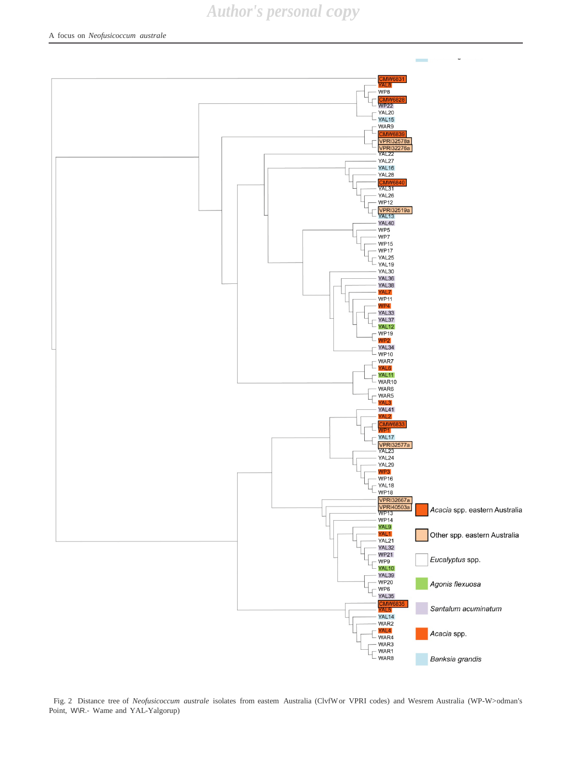

Fig. 2 Distance tree of *Neofusicoccum australe* isolates from eastem Australia (ClvfWor VPRI codes) and Wesrem Australia (WP-W>odman's Point, W\R.- Wame and YAL-Yalgorup)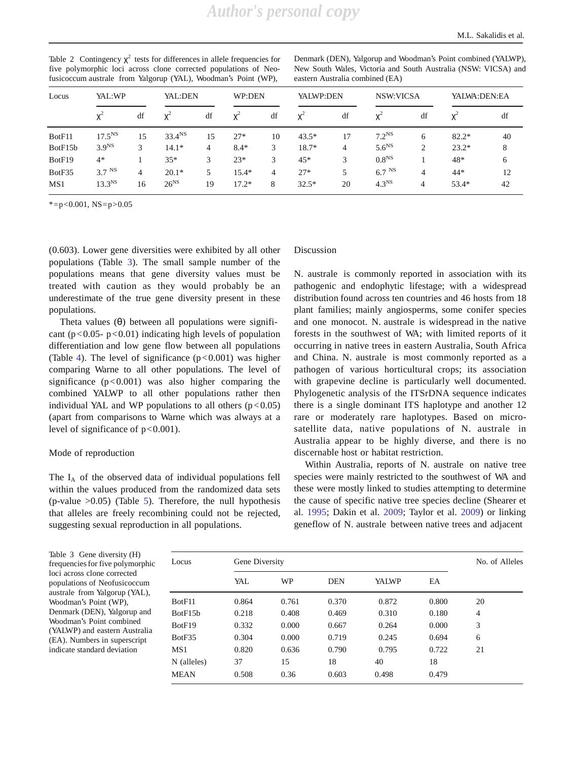| Table 2 Contingency $\chi^2$ tests for differences in allele frequencies for |
|------------------------------------------------------------------------------|
| five polymorphic loci across clone corrected populations of Neo-             |
| fusicoccum australe from Yalgorup (YAL), Woodman's Point (WP),               |

Denmark (DEN), Yalgorup and Woodman'<sup>s</sup> Point combined (YALWP), New South Wales, Victoria and South Australia (NSW: VICSA) and eastern Australia combined (EA)

| Locus   | YAL:WP            |    | YAL:DEN            |    | WP:DEN  |                | YALWP:DEN |                | <b>NSW:VICSA</b>  |    | YALWA: DEN: EA |    |
|---------|-------------------|----|--------------------|----|---------|----------------|-----------|----------------|-------------------|----|----------------|----|
|         | $X^2$             | df | X                  | df | $X^2$   | df             | $X^2$     | df             | χ <sup>2</sup>    | df | χ÷             | df |
| BotF11  | $17.5^{NS}$       | 15 | 33.4 <sup>NS</sup> | 15 | $27*$   | 10             | $43.5*$   | 17             | 7.2 <sup>NS</sup> | 6  | $82.2*$        | 40 |
| BotF15b | 3.9 <sup>NS</sup> | 3  | $14.1*$            | 4  | $8.4*$  | 3              | $18.7*$   | $\overline{4}$ | 5.6 <sup>NS</sup> | 2  | $23.2*$        | 8  |
| BotF19  | $4*$              |    | $35*$              | 3  | $23*$   | 3              | 45*       | 3              | 0.8 <sup>NS</sup> |    | 48*            | 6  |
| BotF35  | 3.7 <sup>NS</sup> | 4  | $20.1*$            | 5  | $15.4*$ | $\overline{4}$ | $27*$     | 5              | 6.7 <sup>NS</sup> | 4  | $44*$          | 12 |
| MS1     | $13.3^{NS}$       | 16 | $26^{NS}$          | 19 | $17.2*$ | 8              | $32.5*$   | 20             | 4.3 <sup>NS</sup> | 4  | $53.4*$        | 42 |

 $* = p < 0.001$ , NS=p>0.05

(0.603). Lower gene diversities were exhibited by all other populations (Table 3). The small sample number of the populations means that gene diversity values must be treated with caution as they would probably be an underestimate of the true gene diversity present in these populations.

Theta values  $(\theta)$  between all populations were significant ( $p < 0.05 - p < 0.01$ ) indicating high levels of population differentiation and low gene flow between all populations (Table 4). The level of significance  $(p<0.001)$  was higher comparing Warne to all other populations. The level of significance  $(p<0.001)$  was also higher comparing the combined YALWP to all other populations rather then individual YAL and WP populations to all others  $(p<0.05)$ (apart from comparisons to Warne which was always at a level of significance of  $p < 0.001$ ).

### Mode of reproduction

The  $I_A$  of the observed data of individual populations fell within the values produced from the randomized data sets  $(p-value > 0.05)$  (Table 5). Therefore, the null hypothesis that alleles are freely recombining could not be rejected, suggesting sexual reproduction in all populations.

### Discussion

N. australe is commonly reported in association with its pathogenic and endophytic lifestage; with a widespread distribution found across ten countries and 46 hosts from 18 plant families; mainly angiosperms, some conifer species and one monocot. N. australe is widespread in the native forests in the southwest of WA; with limited reports of it occurring in native trees in eastern Australia, South Africa and China. N. australe is most commonly reported as a pathogen of various horticultural crops; its association with grapevine decline is particularly well documented. Phylogenetic analysis of the ITSrDNA sequence indicates there is a single dominant ITS haplotype and another 12 rare or moderately rare haplotypes. Based on microsatellite data, native populations of N. australe in Australia appear to be highly diverse, and there is no discernable host or habitat restriction.

Within Australia, reports of N. australe on native tree species were mainly restricted to the southwest of WA and these were mostly linked to studies attempting to determine the cause of specific native tree species decline (Shearer et al. 1995; Dakin et al. 2009; Taylor et al. 2009) or linking geneflow of N. australe between native trees and adjacent

Table 3 Gene diversity (H) frequencies for five polymorphic loci across clone corrected populations of Neofusicoccum australe from Yalgorup (YAL), Woodman'<sup>s</sup> Point (WP), Denmark (DEN), Yalgorup and Woodman'<sup>s</sup> Point combined (YALWP) and eastern Australia (EA). Numbers in superscript indicate standard deviation

| Locus       | Gene Diversity | No. of Alleles |            |       |       |    |  |
|-------------|----------------|----------------|------------|-------|-------|----|--|
|             | YAL            | WP             | <b>DEN</b> | YALWP | EA    |    |  |
| BotF11      | 0.864          | 0.761          | 0.370      | 0.872 | 0.800 | 20 |  |
| BotF15b     | 0.218          | 0.408          | 0.469      | 0.310 | 0.180 | 4  |  |
| BotF19      | 0.332          | 0.000          | 0.667      | 0.264 | 0.000 | 3  |  |
| BotF35      | 0.304          | 0.000          | 0.719      | 0.245 | 0.694 | 6  |  |
| MS1         | 0.820          | 0.636          | 0.790      | 0.795 | 0.722 | 21 |  |
| N (alleles) | 37             | 15             | 18         | 40    | 18    |    |  |
| MEAN        | 0.508          | 0.36           | 0.603      | 0.498 | 0.479 |    |  |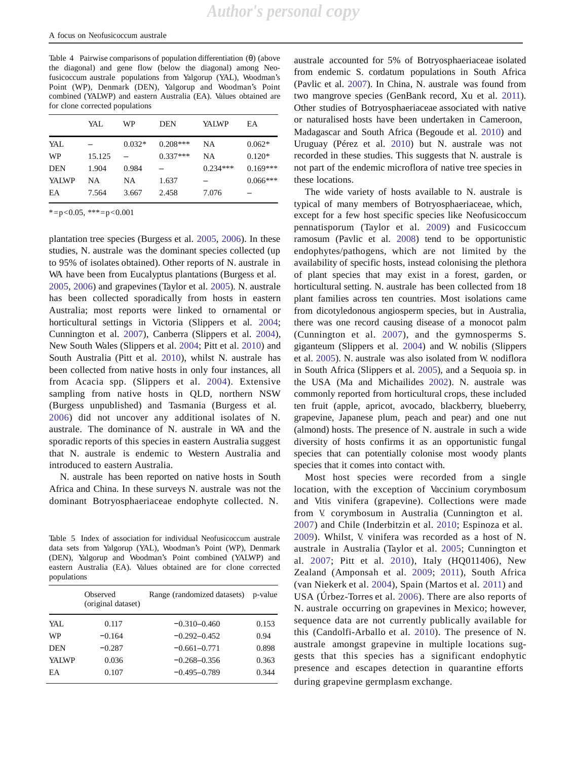Table 4 Pairwise comparisons of population differentiation (θ) (above the diagonal) and gene flow (below the diagonal) among Neofusicoccum australe populations from Yalgorup (YAL), Woodman'<sup>s</sup> Point (WP), Denmark (DEN), Yalgorup and Woodman'<sup>s</sup> Point combined (YALWP) and eastern Australia (EA). Values obtained are for clone corrected populations

|              | YAL    | WP       | <b>DEN</b> | YALWP      | EA         |
|--------------|--------|----------|------------|------------|------------|
| YAL          |        | $0.032*$ | $0.208***$ | NA         | $0.062*$   |
| WP           | 15.125 |          | $0.337***$ | <b>NA</b>  | $0.120*$   |
| <b>DEN</b>   | 1.904  | 0.984    |            | $0.234***$ | $0.169***$ |
| <b>YALWP</b> | NA.    | NA       | 1.637      |            | $0.066***$ |
| EA           | 7.564  | 3.667    | 2.458      | 7.076      |            |

 $* = p < 0.05$ ,  $** = p < 0.001$ 

plantation tree species (Burgess et al. 2005, 2006). In these studies, N. australe was the dominant species collected (up to 95% of isolates obtained). Other reports of N. australe in WA have been from Eucalyptus plantations (Burgess et al. 2005, 2006) and grapevines (Taylor et al. 2005). N. australe has been collected sporadically from hosts in eastern Australia; most reports were linked to ornamental or horticultural settings in Victoria (Slippers et al. 2004; Cunnington et al. 2007), Canberra (Slippers et al. 2004), New South Wales (Slippers et al. 2004; Pitt et al. 2010) and South Australia (Pitt et al. 2010), whilst N. australe has been collected from native hosts in only four instances, all from Acacia spp. (Slippers et al. 2004). Extensive sampling from native hosts in QLD, northern NSW (Burgess unpublished) and Tasmania (Burgess et al. 2006) did not uncover any additional isolates of N. australe. The dominance of N. australe in WA and the sporadic reports of this species in eastern Australia suggest that N. australe is endemic to Western Australia and introduced to eastern Australia.

N. australe has been reported on native hosts in South Africa and China. In these surveys N. australe was not the dominant Botryosphaeriaceae endophyte collected. N.

Table 5 Index of association for individual Neofusicoccum australe data sets from Yalgorup (YAL), Woodman'<sup>s</sup> Point (WP), Denmark (DEN), Yalgorup and Woodman'<sup>s</sup> Point combined (YALWP) and eastern Australia (EA). Values obtained are for clone corrected populations

|              | Observed<br>(original dataset) | Range (randomized datasets) | p-value |
|--------------|--------------------------------|-----------------------------|---------|
| YAL.         | 0.117                          | $-0.310 - 0.460$            | 0.153   |
| WP           | $-0.164$                       | $-0.292 - 0.452$            | 0.94    |
| DEN          | $-0.287$                       | $-0.661 - 0.771$            | 0.898   |
| <b>YALWP</b> | 0.036                          | $-0.268 - 0.356$            | 0.363   |
| EA           | 0.107                          | $-0.495 - 0.789$            | 0.344   |

Uruguay (Pérez et al. 2010) but N. australe was not recorded in these studies. This suggests that N. australe is not part of the endemic microflora of native tree species in these locations. australe accounted for 5% of Botryosphaeriaceae isolated from endemic S. cordatum populations in South Africa (Pavlic et al. 2007). In China, N. australe was found from two mangrove species (GenBank record, Xu et al. 2011). Other studies of Botryosphaeriaceae associated with native or naturalised hosts have been undertaken in Cameroon, Madagascar and South Africa (Begoude et al. 2010) and

The wide variety of hosts available to N. australe is typical of many members of Botryosphaeriaceae, which, except for a few host specific species like Neofusicoccum pennatisporum (Taylor et al. 2009) and Fusicoccum ramosum (Pavlic et al. 2008) tend to be opportunistic endophytes/pathogens, which are not limited by the availability of specific hosts, instead colonising the plethora of plant species that may exist in a forest, garden, or horticultural setting. N. australe has been collected from 18 plant families across ten countries. Most isolations came from dicotyledonous angiosperm species, but in Australia, there was one record causing disease of a monocot palm (Cunnington et al. 2007), and the gymnosperms S. giganteum (Slippers et al. 2004) and W. nobilis (Slippers et al. 2005). N. australe was also isolated from W. nodiflora in South Africa (Slippers et al. 2005), and a Sequoia sp. in the USA (Ma and Michailides 2002). N. australe was commonly reported from horticultural crops, these included ten fruit (apple, apricot, avocado, blackberry, blueberry, grapevine, Japanese plum, peach and pear) and one nut (almond) hosts. The presence of N. australe in such a wide diversity of hosts confirms it as an opportunistic fungal species that can potentially colonise most woody plants species that it comes into contact with.

during grapevine germplasm exchange. Most host species were recorded from a single location, with the exception of Vaccinium corymbosum and Vitis vinifera (grapevine). Collections were made from V. corymbosum in Australia (Cunnington et al. 2007) and Chile (Inderbitzin et al. 2010; Espinoza et al. 2009). Whilst, V. vinifera was recorded as a host of N. australe in Australia (Taylor et al. 2005; Cunnington et al. 2007; Pitt et al. 2010), Italy (HQ011406), New Zealand (Amponsah et al. 2009; 2011), South Africa (van Niekerk et al. 2004), Spain (Martos et al. 2011) and USA (Úrbez-Torres et al. 2006). There are also reports of N. australe occurring on grapevines in Mexico; however, sequence data are not currently publically available for this (Candolfi-Arballo et al. 2010). The presence of N. australe amongst grapevine in multiple locations suggests that this species has a significant endophytic presence and escapes detection in quarantine efforts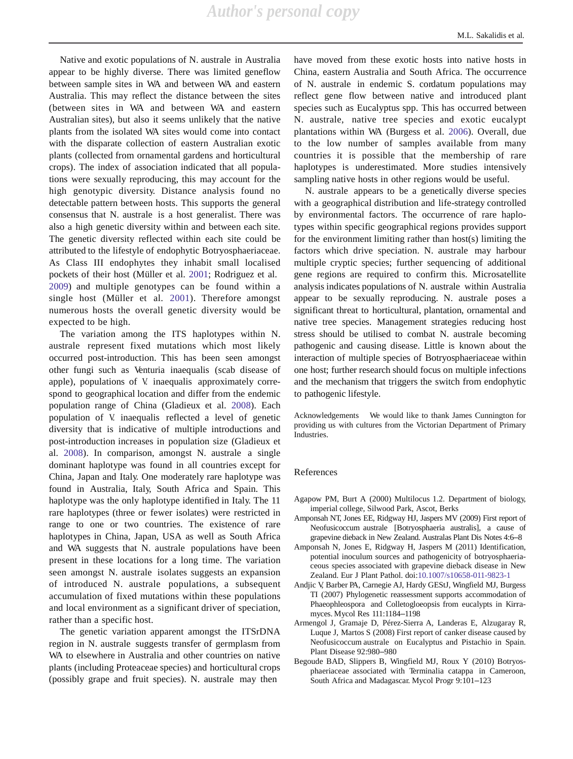Native and exotic populations of N. australe in Australia appear to be highly diverse. There was limited geneflow between sample sites in WA and between WA and eastern Australia. This may reflect the distance between the sites (between sites in WA and between WA and eastern Australian sites), but also it seems unlikely that the native plants from the isolated WA sites would come into contact with the disparate collection of eastern Australian exotic plants (collected from ornamental gardens and horticultural crops). The index of association indicated that all populations were sexually reproducing, this may account for the high genotypic diversity. Distance analysis found no detectable pattern between hosts. This supports the general consensus that N. australe is a host generalist. There was also a high genetic diversity within and between each site. The genetic diversity reflected within each site could be attributed to the lifestyle of endophytic Botryosphaeriaceae. As Class III endophytes they inhabit small localised pockets of their host (Müller et al. 2001; Rodriguez et al. 2009) and multiple genotypes can be found within a single host (Müller et al. 2001). Therefore amongst numerous hosts the overall genetic diversity would be expected to be high.

The variation among the ITS haplotypes within N. australe represent fixed mutations which most likely occurred post-introduction. This has been seen amongst other fungi such as Venturia inaequalis (scab disease of apple), populations of V. inaequalis approximately correspond to geographical location and differ from the endemic population range of China (Gladieux et al. 2008). Each population of V. inaequalis reflected a level of genetic diversity that is indicative of multiple introductions and post-introduction increases in population size (Gladieux et al. 2008). In comparison, amongst N. australe a single dominant haplotype was found in all countries except for China, Japan and Italy. One moderately rare haplotype was found in Australia, Italy, South Africa and Spain. This haplotype was the only haplotype identified in Italy. The 11 rare haplotypes (three or fewer isolates) were restricted in range to one or two countries. The existence of rare haplotypes in China, Japan, USA as well as South Africa and WA suggests that N. australe populations have been present in these locations for a long time. The variation seen amongst N. australe isolates suggests an expansion of introduced N. australe populations, a subsequent accumulation of fixed mutations within these populations and local environment as a significant driver of speciation, rather than a specific host.

The genetic variation apparent amongst the ITSrDNA region in N. australe suggests transfer of germplasm from WA to elsewhere in Australia and other countries on native plants (including Proteaceae species) and horticultural crops (possibly grape and fruit species). N. australe may then

have moved from these exotic hosts into native hosts in China, eastern Australia and South Africa. The occurrence of N. australe in endemic S. cordatum populations may reflect gene flow between native and introduced plant species such as Eucalyptus spp. This has occurred between N. australe, native tree species and exotic eucalypt plantations within WA (Burgess et al. 2006). Overall, due to the low number of samples available from many countries it is possible that the membership of rare haplotypes is underestimated. More studies intensively sampling native hosts in other regions would be useful.

N. australe appears to be a genetically diverse species with a geographical distribution and life-strategy controlled by environmental factors. The occurrence of rare haplotypes within specific geographical regions provides support for the environment limiting rather than host(s) limiting the factors which drive speciation. N. australe may harbour multiple cryptic species; further sequencing of additional gene regions are required to confirm this. Microsatellite analysis indicates populations of N. australe within Australia appear to be sexually reproducing. N. australe poses a significant threat to horticultural, plantation, ornamental and native tree species. Management strategies reducing host stress should be utilised to combat N. australe becoming pathogenic and causing disease. Little is known about the interaction of multiple species of Botryosphaeriaceae within one host; further research should focus on multiple infections and the mechanism that triggers the switch from endophytic to pathogenic lifestyle.

Acknowledgements We would like to thank James Cunnington for providing us with cultures from the Victorian Department of Primary Industries.

### References

- Agapow PM, Burt A (2000) Multilocus 1.2. Department of biology, imperial college, Silwood Park, Ascot, Berks
- Amponsah NT, Jones EE, Ridgway HJ, Jaspers MV (2009) First report of Neofusicoccum australe [Botryosphaeria australis], a cause of grapevine dieback in New Zealand. Australas Plant Dis Notes 4:6–8
- Amponsah N, Jones E, Ridgway H, Jaspers M (2011) Identification, potential inoculum sources and pathogenicity of botryosphaeriaceous species associated with grapevine dieback disease in New Zealand. Eur J Plant Pathol. doi[:10.1007/s10658-011-9823-1](http://dx.doi.org/10.1007/s10658-011-9823-1)
- Andjic V, Barber PA, Carnegie AJ, Hardy GEStJ, Wingfield MJ, Burgess TI (2007) Phylogenetic reassessment supports accommodation of Phaeophleospora and Colletogloeopsis from eucalypts in Kirramyces. Mycol Res 111:1184–1198
- Armengol J, Gramaje D, Pérez-Sierra A, Landeras E, Alzugaray R, Luque J, Martos S (2008) First report of canker disease caused by Neofusicoccum australe on Eucalyptus and Pistachio in Spain. Plant Disease 92:980–980
- Begoude BAD, Slippers B, Wingfield MJ, Roux Y (2010) Botryosphaeriaceae associated with Terminalia catappa in Cameroon, South Africa and Madagascar. Mycol Progr 9:101–123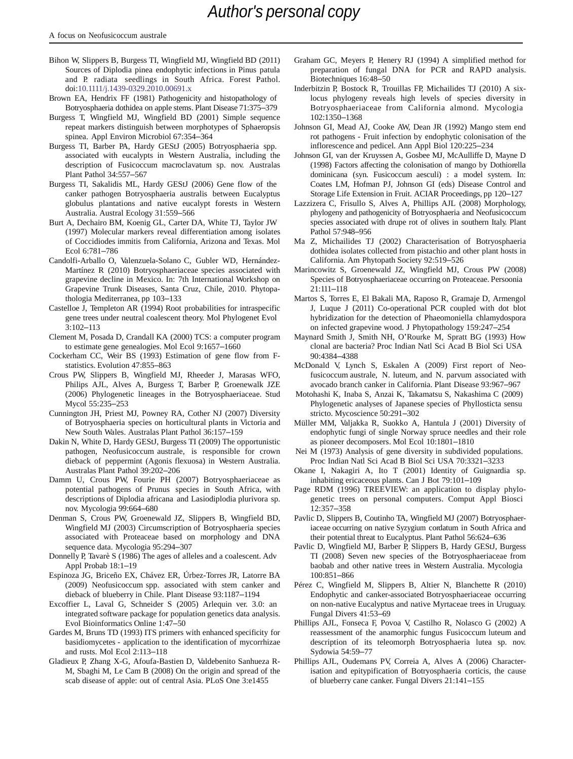- Bihon W, Slippers B, Burgess TI, Wingfield MJ, Wingfield BD (2011) Sources of Diplodia pinea endophytic infections in Pinus patula and P. radiata seedlings in South Africa. Forest Pathol. doi[:10.1111/j.1439-0329.2010.00691.x](http://dx.doi.org/10.1111/j.1439-0329.2010.00691.x)
- Brown EA, Hendrix FF (1981) Pathogenicity and histopathology of Botryosphaeria dothidea on apple stems. Plant Disease 71:375–379
- Burgess T, Wingfield MJ, Wingfield BD (2001) Simple sequence repeat markers distinguish between morphotypes of Sphaeropsis spinea. Appl Environ Microbiol 67:354–364
- Burgess TI, Barber PA, Hardy GEStJ (2005) Botryosphaeria spp. associated with eucalypts in Western Australia, including the description of Fusicoccum macroclavatum sp. nov. Australas Plant Pathol 34:557–567
- Burgess TI, Sakalidis ML, Hardy GEStJ (2006) Gene flow of the canker pathogen Botryosphaeria australis between Eucalyptus globulus plantations and native eucalypt forests in Western Australia. Austral Ecology 31:559–566
- Burt A, Dechairo BM, Koenig GL, Carter DA, White TJ, Taylor JW (1997) Molecular markers reveal differentiation among isolates of Coccidiodes immitis from California, Arizona and Texas. Mol Ecol 6:781–786
- Candolfi-Arballo O, Valenzuela-Solano C, Gubler WD, Hernández-Martínez R (2010) Botryosphaeriaceae species associated with grapevine decline in Mexico. In: 7th International Workshop on Grapevine Trunk Diseases, Santa Cruz, Chile, 2010. Phytopathologia Mediterranea, pp 103–133
- Castelloe J, Templeton AR (1994) Root probabilities for intraspecific gene trees under neutral coalescent theory. Mol Phylogenet Evol 3:102–113
- Clement M, Posada D, Crandall KA (2000) TCS: a computer program to estimate gene genealogies. Mol Ecol 9:1657–1660
- Cockerham CC, Weir BS (1993) Estimation of gene flow from Fstatistics. Evolution 47:855–863
- Crous PW, Slippers B, Wingfield MJ, Rheeder J, Marasas WFO, Philips AJL, Alves A, Burgess T, Barber P, Groenewalk JZE (2006) Phylogenetic lineages in the Botryosphaeriaceae. Stud Mycol 55:235–253
- Cunnington JH, Priest MJ, Powney RA, Cother NJ (2007) Diversity of Botryosphaeria species on horticultural plants in Victoria and New South Wales. Australas Plant Pathol 36:157–159
- Dakin N, White D, Hardy GEStJ, Burgess TI (2009) The opportunistic pathogen, Neofusicoccum australe, is responsible for crown dieback of peppermint (Agonis flexuosa) in Western Australia. Australas Plant Pathol 39:202–206
- Damm U, Crous PW, Fourie PH (2007) Botryosphaeriaceae as potential pathogens of Prunus species in South Africa, with descriptions of Diplodia africana and Lasiodiplodia plurivora sp. nov. Mycologia 99:664–680
- Denman S, Crous PW, Groenewald JZ, Slippers B, Wingfield BD, Wingfield MJ (2003) Circumscription of Botryosphaeria species associated with Proteaceae based on morphology and DNA sequence data. Mycologia 95:294–307
- Donnelly P, Tavarè S (1986) The ages of alleles and a coalescent. Adv Appl Probab 18:1–19
- Espinoza JG, Briceño EX, Chávez ER, Úrbez-Torres JR, Latorre BA (2009) Neofusicoccum spp. associated with stem canker and dieback of blueberry in Chile. Plant Disease 93:1187–1194
- Excoffier L, Laval G, Schneider S (2005) Arlequin ver. 3.0: an integrated software package for population genetics data analysis. Evol Bioinformatics Online 1:47–50
- Gardes M, Bruns TD (1993) ITS primers with enhanced specificity for basidiomycetes - application to the identification of mycorrhizae and rusts. Mol Ecol 2:113–118
- Gladieux P, Zhang X-G, Afoufa-Bastien D, Valdebenito Sanhueza R-M, Sbaghi M, Le Cam B (2008) On the origin and spread of the scab disease of apple: out of central Asia. PLoS One 3:e1455
- Graham GC, Meyers P, Henery RJ (1994) A simplified method for preparation of fungal DNA for PCR and RAPD analysis. Biotechniques 16:48–50
- Inderbitzin P, Bostock R, Trouillas FP, Michailides TJ (2010) A sixlocus phylogeny reveals high levels of species diversity in Botryosphaeriaceae from California almond. Mycologia 102:1350–1368
- Johnson GI, Mead AJ, Cooke AW, Dean JR (1992) Mango stem end rot pathogens - Fruit infection by endophytic colonisation of the inflorescence and pedicel. Ann Appl Biol 120:225–234
- Johnson GI, van der Kruyssen A, Gosbee MJ, McAulliffe D, Mayne D (1998) Factors affecting the colonisation of mango by Dothiorella dominicana (syn. Fusicoccum aesculi) : a model system. In: Coates LM, Hofman PJ, Johnson GI (eds) Disease Control and Storage Life Extension in Fruit. ACIAR Proceedings, pp 120–127
- Lazzizera C, Frisullo S, Alves A, Phillips AJL (2008) Morphology, phylogeny and pathogenicity of Botryosphaeria and Neofusicoccum species associated with drupe rot of olives in southern Italy. Plant Pathol 57:948–956
- Ma Z, Michailides TJ (2002) Characterisation of Botryosphaeria dothidea isolates collected from pistachio and other plant hosts in California. Am Phytopath Society 92:519–526
- Marincowitz S, Groenewald JZ, Wingfield MJ, Crous PW (2008) Species of Botryosphaeriaceae occurring on Proteaceae. Persoonia 21:111–118
- Martos S, Torres E, El Bakali MA, Raposo R, Gramaje D, Armengol J, Luque J (2011) Co-operational PCR coupled with dot blot hybridization for the detection of Phaeomoniella chlamydospora on infected grapevine wood. J Phytopathology 159:247–254
- Maynard Smith J, Smith NH, <sup>O</sup>'Rourke M, Spratt BG (1993) How clonal are bacteria? Proc Indian Natl Sci Acad B Biol Sci USA 90:4384–4388
- McDonald V, Lynch S, Eskalen A (2009) First report of Neofusicoccum australe, N. luteum, and N. parvum associated with avocado branch canker in California. Plant Disease 93:967–967
- Motohashi K, Inaba S, Anzai K, Takamatsu S, Nakashima C (2009) Phylogenetic analyses of Japanese species of Phyllosticta sensu stricto. Mycoscience 50:291–302
- Müller MM, Valjakka R, Suokko A, Hantula J (2001) Diversity of endophytic fungi of single Norway spruce needles and their role as pioneer decomposers. Mol Ecol 10:1801–1810
- Nei M (1973) Analysis of gene diversity in subdivided populations. Proc Indian Natl Sci Acad B Biol Sci USA 70:3321–3233
- Okane I, Nakagiri A, Ito T (2001) Identity of Guignardia sp. inhabiting ericaceous plants. Can J Bot 79:101–109
- Page RDM (1996) TREEVIEW: an application to display phylogenetic trees on personal computers. Comput Appl Biosci 12:357–358
- Pavlic D, Slippers B, Coutinho TA, Wingfield MJ (2007) Botryosphaeriaceae occurring on native Syzygium cordatum in South Africa and their potential threat to Eucalyptus. Plant Pathol 56:624–636
- Pavlic D, Wingfield MJ, Barber P, Slippers B, Hardy GEStJ, Burgess TI (2008) Seven new species of the Botryosphaeriaceae from baobab and other native trees in Western Australia. Mycologia 100:851–866
- Pérez C, Wingfield M, Slippers B, Altier N, Blanchette R (2010) Endophytic and canker-associated Botryosphaeriaceae occurring on non-native Eucalyptus and native Myrtaceae trees in Uruguay. Fungal Divers 41:53–69
- Phillips AJL, Fonseca F, Povoa V, Castilho R, Nolasco G (2002) A reassessment of the anamorphic fungus Fusicoccum luteum and description of its teleomorph Botryosphaeria lutea sp. nov. Sydowia 54:59–77
- Phillips AJL, Oudemans PV, Correia A, Alves A (2006) Characterisation and epitypification of Botryosphaeria corticis, the cause of blueberry cane canker. Fungal Divers 21:141–155